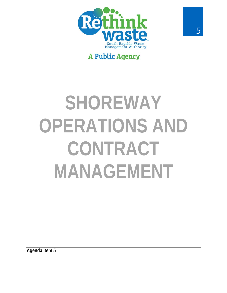

# **A Public Agency**

# **SHOREWAY OPERATIONS AND CONTRACT MANAGEMENT**

**Agenda Item 5**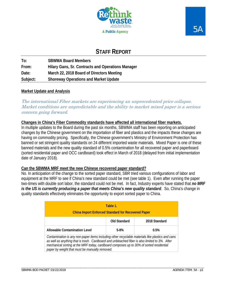



## **STAFF REPORT**

**To: SBWMA Board Members From: Hilary Gans, Sr. Contracts and Operations Manager Date: March 22, 2018 Board of Directors Meeting Subject: Shoreway Operations and Market Update** 

#### **Market Update and Analysis**

The international Fiber markets are experiencing an unprecedented price collapse. Market conditions are unpredictable and the ability to market mixed paper is a serious concern going forward.

#### **Changes in China's Fiber Commodity standards have affected all international fiber markets.**

In multiple updates to the Board during the past six months, SBWMA staff has been reporting on anticipated changes by the Chinese government on the importation of fiber and plastics and the impacts these changes are having on commodity pricing. Specifically, the Chinese government's Ministry of Environment Protection has banned or set stringent quality standards on 24 different imported waste materials. Mixed Paper is one of these banned materials and the new quality standard of 0.5% contamination for all recovered paper and paperboard (sorted residential paper and OCC cardboard) took effect in March of 2018 (delayed from initial implementation date of January 2018).

#### **Can the SBWMA MRF meet the new Chinese recovered paper standard?**

No. In anticipation of the change to the sorted paper standard, SBR tried various configurations of labor and equipment at the MRF to see if China's new standard could be met (see table 1). Even after running the paper two-times with double sort labor, the standard could not be met. In fact, Industry experts have stated that *no MRF is the US is currently producing a paper that meets China's new quality standard*. So, China's change in quality standards effectively eliminates the opportunity to export sorted paper to China.

| Table 1.<br><b>China Import Enforced Standard for Recovered Paper</b>                                                                                                                                                                                                                                                                           |              |               |  |  |  |  |  |  |
|-------------------------------------------------------------------------------------------------------------------------------------------------------------------------------------------------------------------------------------------------------------------------------------------------------------------------------------------------|--------------|---------------|--|--|--|--|--|--|
|                                                                                                                                                                                                                                                                                                                                                 | Old Standard | 2018 Standard |  |  |  |  |  |  |
| Allowable Contamination Level                                                                                                                                                                                                                                                                                                                   | $5 - 8%$     | 0.5%          |  |  |  |  |  |  |
| Contamination is any non-paper items including other recyclable materials like plastics and cans<br>as well as anything that is trash. Cardboard and unbleached fiber is also limited to 3%. After<br>mechanical sorting at the MRF today, cardboard composes up to 30% of sorted residential<br>paper by weight that must be manually removed. |              |               |  |  |  |  |  |  |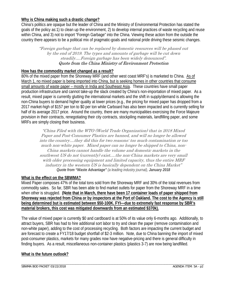#### **Why is China making such a drastic change?**

China's politics are opaque but the leader of China and the Ministry of Environmental Protection has stated the goals of the policy as:1) to clean up the environment, 2) to develop internal practices of waste recycling and reuse within China, and 3) not to import "Foreign Garbage" into the China. Viewing these action from the outside the country there appears to be a political mix of pragmatic-goals and national pride driving these seismic changes.

"Foreign garbage that can be replaced by domestic resources will be phased out by the end of 2019. The types and amounts of garbage will be cut down steadily….Foreign garbage has been widely denounced". Quote from the China Ministry of Environment Protection

#### **How has the commodity market changed as a result?**

80% of the mixed paper from the Shoreway MRF (and other west coast MRF's) is marketed to China. As of March 1, no mixed paper is being imported into China, but is seeking homes in other countries that consume small amounts of waste paper – mostly in India and Southeast Asia. These countries have small paper production infrastructure and cannot take-up the slack created by China's non-importation of mixed paper. As a result, mixed paper is currently glutting the international markets and the shift in supply/demand is allowing the non-China buyers to demand higher quality at lower prices (e.g., the pricing for mixed paper has dropped from a 2017 market-high of \$157 per ton to \$0 per ton while Carboard has also been impacted and is currently selling for half of its average 2017 price. Around the country, there are many municipalities exercising the Force Majeure provision in their contracts, renegotiating their city contracts, stockpiling materials, landfilling paper, and some MRFs are simply closing their business.

"China Filed with the WTO (World Trade Organization) that in 2018 Mixed Paper and Post-Consumer Plastics are banned, and will no longer be allowed into the country....they did this for two reasons: too much contamination or too much non-white paper. Mixed paper can no longer be shipped to China, non-China markets cannot handle the volume and domestic markets in the southwest US do not (currently) exist….the non-China markets are very small with older processing equipment and limited capacity, thus the entire MRF industry in the western US is basically dependent on the China Market" *Quote from "Waste Advantage" (a leading industry journal), January 2018*

#### **What is the effect on the SBWMA?**

Mixed Paper composes 47% of the total tons sold from the Shoreway MRF and 30% of the total revenues from commodity sales. So far, SBR has been able to find market outlets for paper from the Shoreway MRF in a time when other is struggled. **(Note that in March, there have been 17 container loads of paper shipped from Shoreway was rejected from China or by inspectors at the Port of Oakland. The cost to the Agency is still being determined but is estimated between \$50-100K. FYI—due to extremely fast response by SBR's material brokers, this cost was mitigated downwards from an estimated \$370k).**

The value of mixed paper is currently \$0 and cardboard is at 50% of its value only 6-months ago. Additionally, to attract buyers, SBR has had to hire additional sort labor to try and clean the paper (remove contamination and non-white paper), adding to the cost of processing recycling. Both factors are impacting the current budget and are forecast to create a FY17/18 budget shortfall of \$2-3 million. Note, due to China banning the import of mixed post-consumer plastics, markets for many grades now have negative-pricing and there is general difficulty in finding buyers. As a result, miscellaneous non-container plastics (plastics 3-7) are now being landfilled.

#### **What is the future outlook?**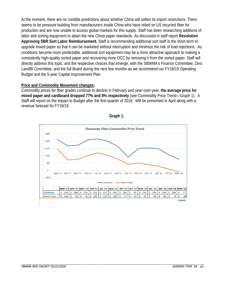At the moment, there are no credible predictions about whether China will soften its import restrictions. There seems to be pressure building from manufacturers inside China who have relied on US recycled fiber for production and are now unable to access global markets for this supply. Staff has been researching additions of labor and sorting equipment to attain the new China paper standards. As discussed in staff report **Resolution Approving SBR Sort Labor Reimbursement**, Staff is recommending additional sort staff in the short-term to upgrade mixed paper so that it can be marketed without interruption and minimize the risk of load rejections. As conditions become more predictable, additional sort equipment may be a more attractive approach to making a consistently high-quality sorted paper and recovering more OCC by removing it from the sorted paper. Staff will directly address this topic, and the respective choices that emerge, with the SBWMA's Finance Committee; Zero Landfill Committee; and the full Board during the next few months as we recommend our FY18/19 Operating Budget and the 5-year Capital Improvement Plan.

#### **Price and Commodity Movement changes:**

Commodity prices for fiber grades continue to decline in February and year-over-year, **the average price for mixed paper and cardboard dropped 77% and 8% respectively** (see Commodity Price Trend—Graph 1). A Staff will report on the impact to Budget after the first-quarter of 2018. Will be presented in April along with a revenue forecast for FY18/19.



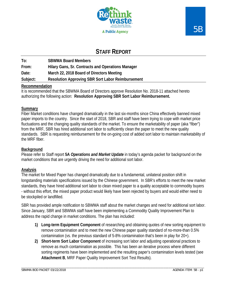

## **STAFF REPORT**

**To: SBWMA Board Members** 

**From: Hilary Gans, Sr. Contracts and Operations Manager** 

**Date: March 22, 2018 Board of Directors Meeting** 

**Subject: Resolution Approving SBR Sort Labor Reimbursement** 

#### **Recommendation**

It is recommended that the SBWMA Board of Directors approve Resolution No. 2018-11 attached hereto authorizing the following action: **Resolution Approving SBR Sort Labor Reimbursement.** 

#### **Summary**

Fiber Market conditions have changed dramatically in the last six-months since China effectively banned mixed paper imports to the country. Since the start of 2018, SBR and staff have been trying to cope with market price fluctuations and the changing quality standards of the market. To ensure the marketability of paper (aka "fiber") from the MRF, SBR has hired additional sort labor to sufficiently clean the paper to meet the new quality standards. SBR is requesting reimbursement for the on-going cost of added sort labor to maintain marketability of the MRF fiber.

#### **Background**

Please refer to Staff report **5A** *Operations and Market Update* in today's agenda packet for background on the market conditions that are urgently driving the need for additional sort labor.

#### **Analysis**

The market for Mixed Paper has changed dramatically due to a fundamental, unilateral position shift in longstanding materials specifications issued by the Chinese government. In SBR's efforts to meet the new market standards, they have hired additional sort labor to clean mixed paper to a quality acceptable to commodity buyers - without this effort, the mixed paper product would likely have been rejected by buyers and would either need to be stockpiled or landfilled.

SBR has provided ample notification to SBWMA staff about the market changes and need for additional sort labor. Since January, SBR and SBWMA staff have been implementing a Commodity Quality Improvement Plan to address the rapid change in market conditions. The plan has included:

- **1) Long-term Equipment Component** of researching and obtaining quotes of new sorting equipment to remove contamination and to meet the new Chinese paper quality standard of no-more-than 0.5% contamination (vs. the previous standard of 5-8% contamination that's been in play for 20+).
- **2) Short-term Sort Labor Component** of increasing sort labor and adjusting operational practices to remove as much contamination as possible. This has been an iterative process where different sorting regiments have been implemented and the resulting paper's contamination levels tested (see **Attachment B**, MRF Paper Quality Improvement Sort Test Results).

\_\_\_\_\_\_\_\_\_\_\_\_\_\_\_\_\_\_\_\_\_\_\_\_\_\_\_\_\_\_\_\_\_\_\_\_\_\_\_\_\_\_\_\_\_\_\_\_\_\_\_\_\_\_\_\_\_\_\_\_\_\_\_\_\_\_\_\_\_\_\_\_\_\_\_\_\_\_\_\_\_\_\_\_\_\_\_\_\_\_\_\_\_\_\_\_\_\_\_\_\_\_\_\_\_\_\_\_\_\_\_\_\_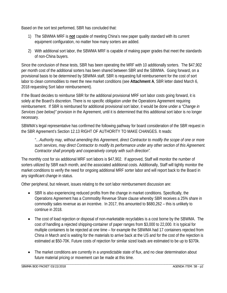Based on the sort test performed, SBR has concluded that:

- 1) The SBWMA MRF is **not** capable of meeting China's new paper quality standard with its current equipment configuration, no matter how many sorters are added.
- 2) With additional sort labor, the SBWMA MRF is capable of making paper grades that meet the standards of non-China buyers.

Since the conclusion of these tests, SBR has been operating the MRF with 10 additionally sorters. The \$47,902 per month cost of the additional sorters has been shared between SBR and the SBWMA. Going forward, on a provisional basis to be determined by SBWMA staff, SBR is requesting full reimbursement for the cost of sort labor to clean commodities to meet the new market conditions (see **Attachment A**, SBR letter dated March 6, 2018 requesting Sort labor reimbursement).

If the Board decides to reimburse SBR for the additional provisional MRF sort labor costs going forward, it is solely at the Board's discretion. There is no specific obligation under the Operations Agreement requiring reimbursement. If SBR is reimbursed for additional provisional sort labor, it would be done under a *"Change in Services (see below)"* provision in the Agreement, until it is determined that this additional sort labor is no longer necessary.

SBWMA's legal representative has confirmed the following pathway for board consideration of the SBR request in the SBR Agreement's Section 12.13 RIGHT OF AUTHORITY TO MAKE CHANGES. It reads:

*"…Authority may, without amending this Agreement, direct Contractor to modify the scope of one or more such services, may direct Contractor to modify its performance under any other section of this Agreement. Contractor shall promptly and cooperatively comply with such direction".* 

The monthly cost for six additional MRF sort labors is \$47,902. If approved, Staff will monitor the number of sorters utilized by SBR each month, and the associated additional costs. Additionally, Staff will tightly monitor the market conditions to verify the need for ongoing additional MRF sorter labor and will report back to the Board in any significant change in status.

Other peripheral, but relevant, issues relating to the sort labor reimbursement discussion are:

- SBR is also experiencing reduced profits from the change in market conditions. Specifically, the Operations Agreement has a Commodity Revenue Share clause whereby SBR receives a 25% share in commodity sales revenue as an incentive. In 2017, this amounted to \$680,262 – this is unlikely to continue in 2018.
- The cost of load rejection or disposal of non-marketable recyclables is a cost borne by the SBWMA. The cost of handling a rejected shipping-container of paper ranges from \$3,000 to 22,000. It is typical for multiple containers to be rejected at one time – for example the SBWMA had 17 containers rejected from China in March and is waiting for the materials to arrive back at the US and for the cost of the rejection is estimated at \$50-70K. Future costs of rejection for similar sized loads are estimated to be up to \$370k.
- The market conditions are currently in a unpredictable state of flux, and no clear determination about future material pricing or movement can be made at this time.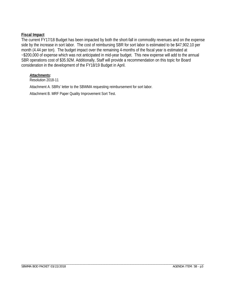#### **Fiscal Impact**

The current FY17/18 Budget has been impacted by both the short-fall in commodity revenues and on the expense side by the increase in sort labor. The cost of reimbursing SBR for sort labor is estimated to be \$47,902.10 per month (4.44 per ton). The budget impact over the remaining 4-months of the fiscal year is estimated at ~\$200,000 of expense which was not anticipated in mid-year budget. This new expense will add to the annual SBR operations cost of \$35.92M. Additionally, Staff will provide a recommendation on this topic for Board consideration in the development of the FY18/19 Budget in April.

#### *Attachments:*

Resolution 2018-11

Attachment A. SBRs' letter to the SBWMA requesting reimbursement for sort labor.

Attachment B. MRF Paper Quality Improvement Sort Test.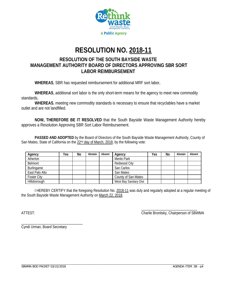

# **RESOLUTION NO. 2018-11**

### **RESOLUTION OF THE SOUTH BAYSIDE WASTE MANAGEMENT AUTHORITY BOARD OF DIRECTORS APPROVING SBR SORT LABOR REIMBURSEMENT**

**WHEREAS**, SBR has requested reimbursement for additional MRF sort labor,

**WHEREAS**, additional sort labor is the only short-term means for the agency to meet new commodity standards,

**WHEREAS**, meeting new commodity standards is necessary to ensure that recyclables have a market outlet and are not landfilled.

**NOW, THEREFORE BE IT RESOLVED** that the South Bayside Waste Management Authority hereby approves a Resolution Approving SBR Sort Labor Reimbursement.

 **PASSED AND ADOPTED** by the Board of Directors of the South Bayside Waste Management Authority, County of San Mateo, State of California on the  $22<sup>nd</sup>$  day of March, 2018, by the following vote:

| Agency             | Yes | No | Abstain | Absent | Agency                 | Yes | No | Abstain | Absent |
|--------------------|-----|----|---------|--------|------------------------|-----|----|---------|--------|
| Atherton           |     |    |         |        | Menlo Park             |     |    |         |        |
| Belmont            |     |    |         |        | Redwood City           |     |    |         |        |
| Burlingame         |     |    |         |        | San Carlos             |     |    |         |        |
| East Palo Alto     |     |    |         |        | San Mateo              |     |    |         |        |
| <b>Foster City</b> |     |    |         |        | County of San Mateo    |     |    |         |        |
| Hillsborough       |     |    |         |        | West Bay Sanitary Dist |     |    |         |        |

 I HEREBY CERTIFY that the foregoing Resolution No. 2018-11 was duly and regularly adopted at a regular meeting of the South Bayside Waste Management Authority on March 22, 2018.

 $\overline{\phantom{a}}$  , and the contract of the contract of the contract of the contract of the contract of the contract of the contract of the contract of the contract of the contract of the contract of the contract of the contrac ATTEST: Charlie Bronitsky, Chairperson of SBWMA

Cyndi Urman, Board Secretary

\_\_\_\_\_\_\_\_\_\_\_\_\_\_\_\_\_\_\_\_\_\_\_\_\_\_\_\_\_\_\_\_\_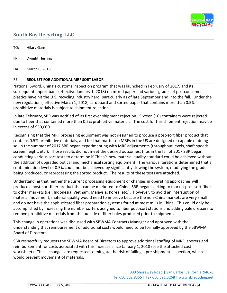

## **South Bay Recycling, LLC**

TO: Hilary Gans

FR: Dwight Herring

DA: March 6, 2018

#### RE: **REQUEST FOR ADDITIONAL MRF SORT LABOR**

National Sword, China's customs inspection program that was launched in February of 2017, and its subsequent import bans (effective January 1, 2018) on mixed paper and various grades of postconsumer plastics have hit the U.S. recycling industry hard, particularly as of late September and into the fall. Under the new regulations, effective March 1, 2018, cardboard and sorted paper that contains more than 0.5% prohibitive materials is subject to shipment rejection.

In late February, SBR was notified of its first ever shipment rejection. Sixteen (16) containers were rejected due to fiber that contained more than 0.5% prohibitive materials. The cost for this shipment rejection may be in excess of \$50,000.

Recognizing that the MRF processing equipment was not designed to produce a post-sort fiber product that contains 0.5% prohibitive materials, and for that matter no MRFs in the US are designed or capable of doing so, in the summer of 2017 SBR began experimenting with MRF adjustments (throughput levels, shaft speeds, screen height, etc.). Those results did not meet the desired outcomes, thus in the fall of 2017 SBR began conducting various sort tests to determine if China's new material quality standard could be achieved without the addition of upgraded optical and mechanical sorting equipment. The various iterations determined that a contamination level of 0.5% could not be achieved by significantly slowing the system, modifying the grades being produced, or reprocessing the sorted product. The results of these tests are attached.

Understanding that neither the current processing equipment or changes in operating approaches will produce a post-sort fiber product that can be marketed to China, SBR began seeking to market post-sort fiber to other markets (i.e., Indonesia, Vietnam, Malaysia, Korea, etc.). However, to avoid an interruption of material movement, material quality would need to improve because the non-China markets are very small and do not have the sophisticated fiber preparation systems found at most mills in China. This could only be accomplished by increasing the number sorters assigned to fiber post-sort stations and adding bale dressers to remove prohibitive materials from the outside of fiber bales produced prior to shipment.

This change in operations was discussed with SBWMA Contracts Manager and approved with the understanding that reimbursement of additional costs would need to be formally approved by the SBWMA Board of Directors.

SBR respectfully requests the SBWMA Board of Directors to approve additional staffing of MRF laborers and reimbursement for costs associated with this increase since January 1, 2018 (see the attached cost worksheet). These changes are requested to mitigate the risk of failing a pre-shipment inspection, which would prevent movement of materials.

> 333 Shoreway Road **|** San Carlos, California 94070 Tel 650.802.8355 **|** Fax 650.591.3268 **|** www.sbrecycling.net

\_\_\_\_\_\_\_\_\_\_\_\_\_\_\_\_\_\_\_\_\_\_\_\_\_\_\_\_\_\_\_\_\_\_\_\_\_ \_\_\_\_\_\_\_\_\_\_\_\_\_\_\_\_\_\_\_\_\_\_\_\_\_\_\_\_\_\_\_\_\_\_\_\_\_\_\_\_\_\_\_\_\_\_\_\_\_\_\_\_\_\_\_\_

\_\_\_\_\_\_\_\_\_\_\_\_\_\_\_\_\_\_\_\_\_\_\_\_\_\_\_\_\_\_\_\_\_\_\_\_\_\_\_\_\_\_\_\_\_\_\_\_\_\_\_\_\_\_\_\_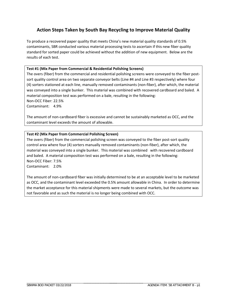#### **Action Steps Taken by South Bay Recycling to Improve Material Quality**

To produce a recovered paper quality that meets China's new material quality standards of 0.5% contaminants, SBR conducted various material processing tests to ascertain if this new fiber quality standard for sorted paper could be achieved without the addition of new equipment. Below are the results of each test.

#### **Test #1 (Mix Paper from Commercial & Residential Polishing Screens)**

The overs (fiber) from the commercial and residential polishing screens were conveyed to the fiber postsort quality control area on two separate conveyor belts (Line #4 and Line #3 respectively) where four (4) sorters stationed at each line, manually removed contaminants (non-fiber), after which, the material was conveyed into a single bunker. This material was combined with recovered cardboard and baled. A material composition test was performed on a bale, resulting in the following: Non-OCC Fiber: 22.5%

Contaminant: 4.9%

The amount of non-cardboard fiber is excessive and cannot be sustainably marketed as OCC, and the contaminant level exceeds the amount of allowable.

#### **Test #2 (Mix Paper from Commercial Polishing Screen)**

The overs (fiber) from the commercial polishing screen was conveyed to the fiber post-sort quality control area where four (4) sorters manually removed contaminants (non-fiber), after which, the material was conveyed into a single bunker. This material was combined with recovered cardboard and baled. A material composition test was performed on a bale, resulting in the following: Non-OCC Fiber: 7.5% Contaminant: 2.0%

The amount of non-cardboard fiber was initially determined to be at an acceptable level to be marketed as OCC, and the contaminant level exceeded the 0.5% amount allowable in China. In order to determine the market acceptance for this material shipments were made to several markets, but the outcome was not favorable and as such the material is no longer being combined with OCC.

\_\_\_\_\_\_\_\_\_\_\_\_\_\_\_\_\_\_\_\_\_\_\_\_\_\_\_\_\_\_\_\_\_\_\_\_\_\_\_\_\_\_\_\_\_\_\_\_\_\_\_\_\_\_\_\_

\_\_\_\_\_\_\_\_\_\_\_\_\_\_\_\_\_\_\_\_\_\_\_\_\_\_\_\_\_\_\_\_\_\_\_\_\_ \_\_\_\_\_\_\_\_\_\_\_\_\_\_\_\_\_\_\_\_\_\_\_\_\_\_\_\_\_\_\_\_\_\_\_\_\_\_\_\_\_\_\_\_\_\_\_\_\_\_\_\_\_\_\_\_